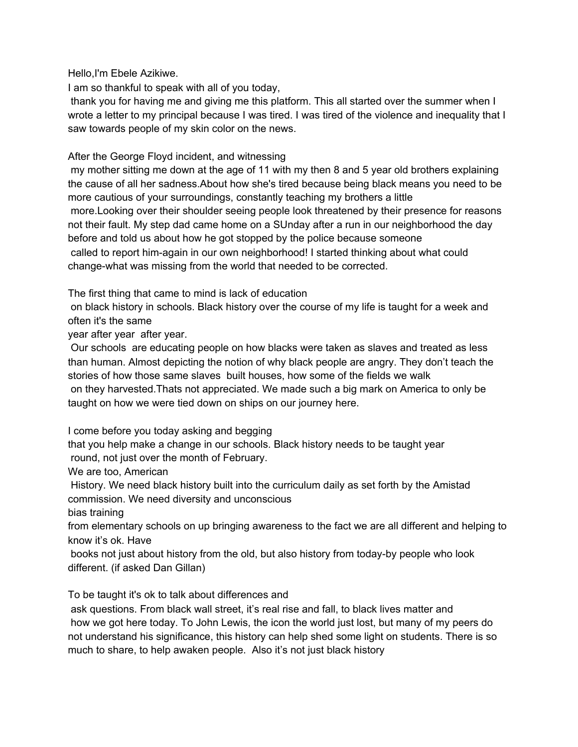Hello,I'm Ebele Azikiwe.

I am so thankful to speak with all of you today,

 thank you for having me and giving me this platform. This all started over the summer when I wrote a letter to my principal because I was tired. I was tired of the violence and inequality that I saw towards people of my skin color on the news.

## After the George Floyd incident, and witnessing

 my mother sitting me down at the age of 11 with my then 8 and 5 year old brothers explaining the cause of all her sadness.About how she's tired because being black means you need to be more cautious of your surroundings, constantly teaching my brothers a little more.Looking over their shoulder seeing people look threatened by their presence for reasons not their fault. My step dad came home on a SUnday after a run in our neighborhood the day before and told us about how he got stopped by the police because someone called to report him-again in our own neighborhood! I started thinking about what could change-what was missing from the world that needed to be corrected.

The first thing that came to mind is lack of education

 on black history in schools. Black history over the course of my life is taught for a week and often it's the same

year after year after year.

 Our schools are educating people on how blacks were taken as slaves and treated as less than human. Almost depicting the notion of why black people are angry. They don't teach the stories of how those same slaves built houses, how some of the fields we walk on they harvested.Thats not appreciated. We made such a big mark on America to only be taught on how we were tied down on ships on our journey here.

I come before you today asking and begging

 that you help make a change in our schools. Black history needs to be taught year round, not just over the month of February.

We are too, American

 History. We need black history built into the curriculum daily as set forth by the Amistad commission. We need diversity and unconscious

bias training

 from elementary schools on up bringing awareness to the fact we are all different and helping to know it's ok. Have

 books not just about history from the old, but also history from today-by people who look different. (if asked Dan Gillan)

To be taught it's ok to talk about differences and

 ask questions. From black wall street, it's real rise and fall, to black lives matter and how we got here today. To John Lewis, the icon the world just lost, but many of my peers do not understand his significance, this history can help shed some light on students. There is so much to share, to help awaken people. Also it's not just black history